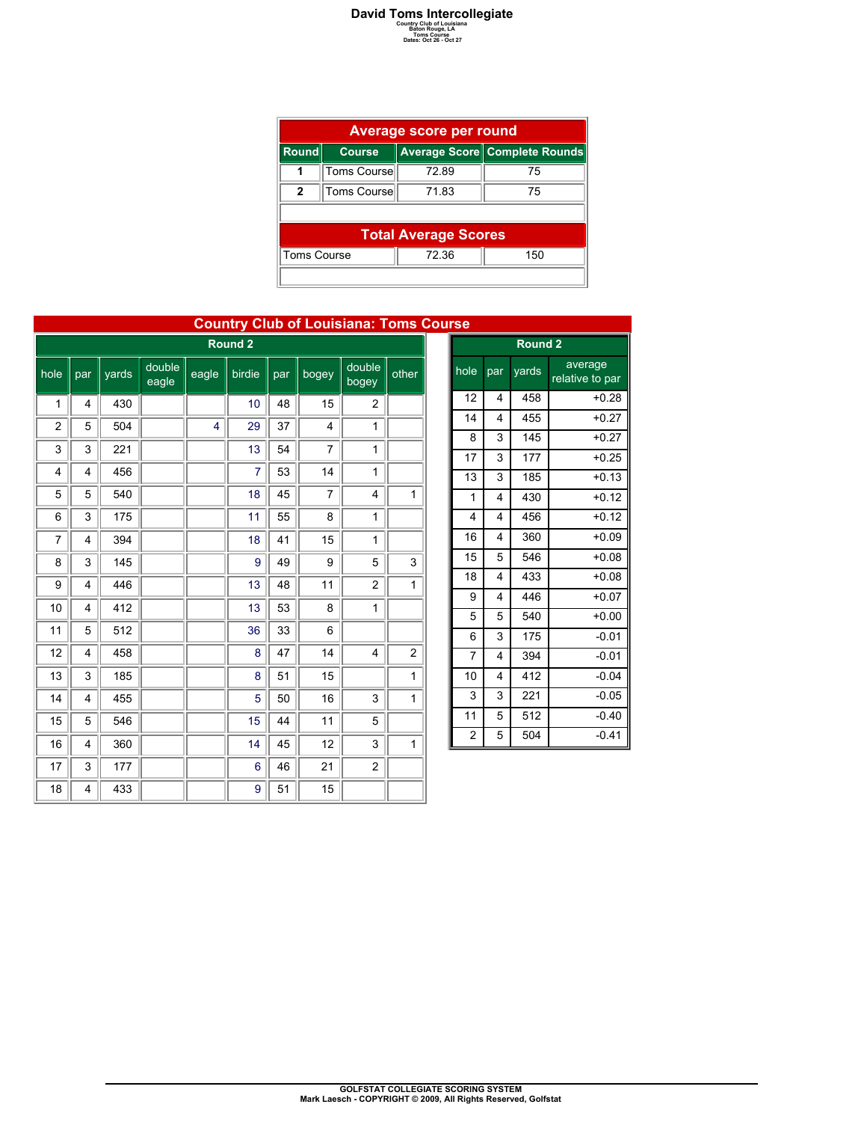## **David Toms Intercollegiate**<br> **Country Club of Louisiana**<br>
Baton Rouge, LA<br>
Dates: Oct 26 - Oct 27<br>
Dates: Oct 26 - Oct 27

| Average score per round |                                                |       |    |  |  |  |  |  |  |  |
|-------------------------|------------------------------------------------|-------|----|--|--|--|--|--|--|--|
| Round                   | Average Score Complete Rounds<br><b>Course</b> |       |    |  |  |  |  |  |  |  |
|                         | Toms Course                                    | 72.89 | 75 |  |  |  |  |  |  |  |
| $\mathbf{2}$            | Toms Course                                    | 71.83 | 75 |  |  |  |  |  |  |  |
|                         |                                                |       |    |  |  |  |  |  |  |  |
|                         | <b>Total Average Scores</b>                    |       |    |  |  |  |  |  |  |  |
|                         | <b>Toms Course</b><br>72.36<br>150             |       |    |  |  |  |  |  |  |  |
|                         |                                                |       |    |  |  |  |  |  |  |  |

|                |     |       |                 |       |                |     |                | <b>Country Club of Louisiana: Toms Cours</b> |                |  |
|----------------|-----|-------|-----------------|-------|----------------|-----|----------------|----------------------------------------------|----------------|--|
| Round 2        |     |       |                 |       |                |     |                |                                              |                |  |
| hole           | par | yards | double<br>eagle | eagle | birdie         | par | bogey          | double<br>bogey                              | other          |  |
| 1              | 4   | 430   |                 |       | 10             | 48  | 15             | 2                                            |                |  |
| $\overline{2}$ | 5   | 504   |                 | 4     | 29             | 37  | 4              | 1                                            |                |  |
| 3              | 3   | 221   |                 |       | 13             | 54  | $\overline{7}$ | 1                                            |                |  |
| 4              | 4   | 456   |                 |       | $\overline{7}$ | 53  | 14             | $\mathbf{1}$                                 |                |  |
| 5              | 5   | 540   |                 |       | 18             | 45  | 7              | 4                                            | 1              |  |
| 6              | 3   | 175   |                 |       | 11             | 55  | 8              | $\mathbf{1}$                                 |                |  |
| 7              | 4   | 394   |                 |       | 18             | 41  | 15             | 1                                            |                |  |
| 8              | 3   | 145   |                 |       | 9              | 49  | 9              | 5                                            | 3              |  |
| 9              | 4   | 446   |                 |       | 13             | 48  | 11             | $\overline{c}$                               | 1              |  |
| 10             | 4   | 412   |                 |       | 13             | 53  | 8              | 1                                            |                |  |
| 11             | 5   | 512   |                 |       | 36             | 33  | 6              |                                              |                |  |
| 12             | 4   | 458   |                 |       | 8              | 47  | 14             | 4                                            | $\overline{c}$ |  |
| 13             | 3   | 185   |                 |       | 8              | 51  | 15             |                                              | $\mathbf{1}$   |  |
| 14             | 4   | 455   |                 |       | 5              | 50  | 16             | 3                                            | $\mathbf{1}$   |  |
| 15             | 5   | 546   |                 |       | 15             | 44  | 11             | 5                                            |                |  |
| 16             | 4   | 360   |                 |       | 14             | 45  | 12             | 3                                            | $\mathbf{1}$   |  |
| 17             | 3   | 177   |                 |       | 6              | 46  | 21             | $\overline{c}$                               |                |  |
| 18             | 4   | 433   |                 |       | 9              | 51  | 15             |                                              |                |  |

## **Country Club of Louisiana: Toms Course**

| ц<br><u>ou</u>     |     |       |                            |  |  |  |  |  |  |
|--------------------|-----|-------|----------------------------|--|--|--|--|--|--|
| Round <sub>2</sub> |     |       |                            |  |  |  |  |  |  |
| hole               | par | yards | average<br>relative to par |  |  |  |  |  |  |
| 12                 | 4   | 458   | $+0.28$                    |  |  |  |  |  |  |
| 14                 | 4   | 455   | $+0.27$                    |  |  |  |  |  |  |
| 8                  | 3   | 145   | $+0.27$                    |  |  |  |  |  |  |
| 17                 | 3   | 177   | $+0.25$                    |  |  |  |  |  |  |
| 13                 | 3   | 185   | $+0.13$                    |  |  |  |  |  |  |
| 1                  | 4   | 430   | $+0.12$                    |  |  |  |  |  |  |
| $\overline{4}$     | 4   | 456   | $+0.12$                    |  |  |  |  |  |  |
| 16                 | 4   | 360   | $+0.09$                    |  |  |  |  |  |  |
| 15                 | 5   | 546   | $+0.08$                    |  |  |  |  |  |  |
| 18                 | 4   | 433   | $+0.08$                    |  |  |  |  |  |  |
| 9                  | 4   | 446   | $+0.07$                    |  |  |  |  |  |  |
| 5                  | 5   | 540   | $+0.00$                    |  |  |  |  |  |  |
| 6                  | 3   | 175   | $-0.01$                    |  |  |  |  |  |  |
| $\overline{7}$     | 4   | 394   | $-0.01$                    |  |  |  |  |  |  |
| 10                 | 4   | 412   | $-0.04$                    |  |  |  |  |  |  |
| 3                  | 3   | 221   | $-0.05$                    |  |  |  |  |  |  |
| 11                 | 5   | 512   | $-0.40$                    |  |  |  |  |  |  |
| $\overline{2}$     | 5   | 504   | $-0.41$                    |  |  |  |  |  |  |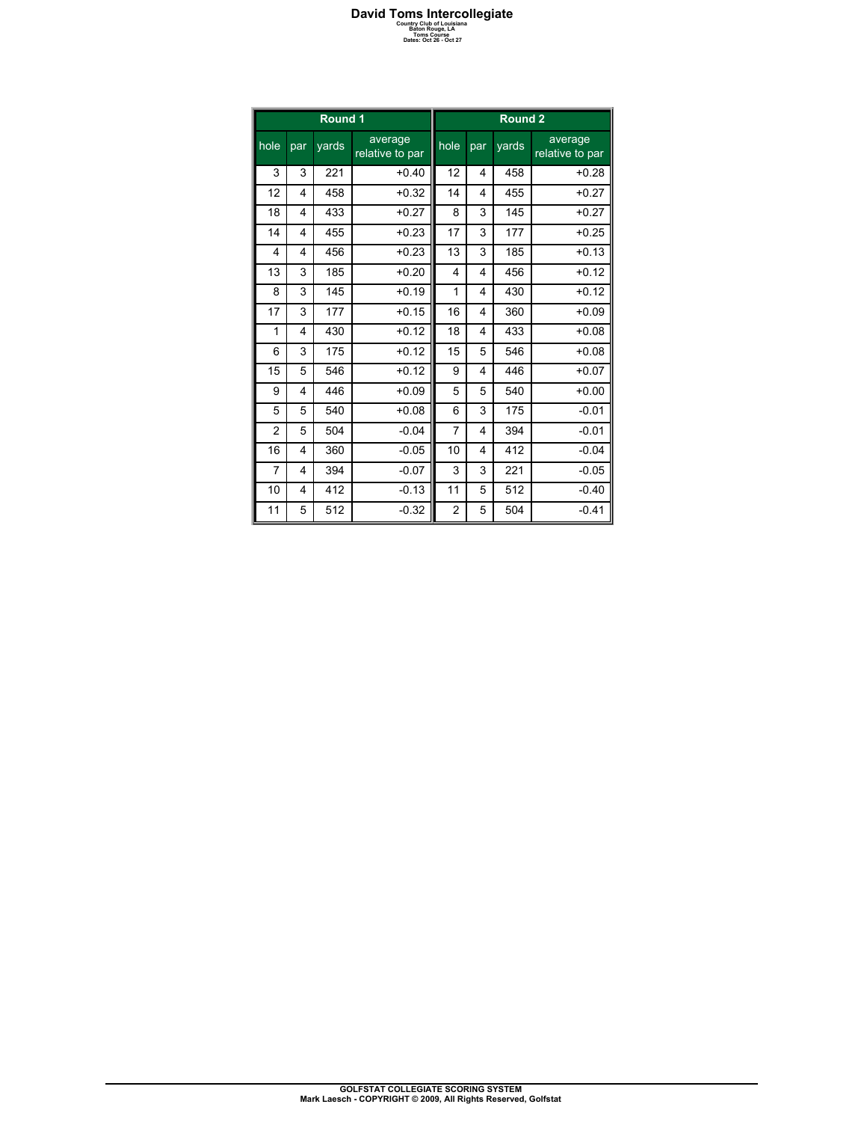## **David Toms Intercollegiate**<br> **Country Club of Louisiana**<br>
Baton Rouge, LA<br>
Dates: Oct 26 - Oct 27<br>
Dates: Oct 26 - Oct 27

| Round 1        |                         |       |                            |                | Round <sub>2</sub> |       |                            |  |  |
|----------------|-------------------------|-------|----------------------------|----------------|--------------------|-------|----------------------------|--|--|
| $h$ ole        | par                     | yards | average<br>relative to par | hole           | par                | yards | average<br>relative to par |  |  |
| 3              | 3                       | 221   | $+0.40$                    | 12             | 4                  | 458   | $+0.28$                    |  |  |
| 12             | 4                       | 458   | $+0.32$                    | 14             | 4                  | 455   | $+0.27$                    |  |  |
| 18             | 4                       | 433   | $+0.27$                    | 8              | 3                  | 145   | $+0.27$                    |  |  |
| 14             | $\overline{\mathbf{4}}$ | 455   | $+0.23$                    | 17             | 3                  | 177   | $+0.25$                    |  |  |
| $\overline{4}$ | 4                       | 456   | $+0.23$                    | 13             | 3                  | 185   | $+0.13$                    |  |  |
| 13             | 3                       | 185   | $+0.20$                    | $\overline{4}$ | 4                  | 456   | $+0.12$                    |  |  |
| 8              | 3                       | 145   | $+0.19$                    | 1              | 4                  | 430   | $+0.12$                    |  |  |
| 17             | 3                       | 177   | $+0.15$                    | 16             | 4                  | 360   | $+0.09$                    |  |  |
| 1              | 4                       | 430   | $+0.12$                    | 18             | 4                  | 433   | $+0.08$                    |  |  |
| 6              | 3                       | 175   | $+0.12$                    | 15             | 5                  | 546   | $+0.08$                    |  |  |
| 15             | 5                       | 546   | $+0.12$                    | 9              | 4                  | 446   | $+0.07$                    |  |  |
| 9              | 4                       | 446   | $+0.09$                    | 5              | 5                  | 540   | $+0.00$                    |  |  |
| 5              | 5                       | 540   | $+0.08$                    | 6              | 3                  | 175   | $-0.01$                    |  |  |
| $\overline{2}$ | 5                       | 504   | $-0.04$                    | 7              | 4                  | 394   | $-0.01$                    |  |  |
| 16             | 4                       | 360   | $-0.05$                    | 10             | 4                  | 412   | $-0.04$                    |  |  |
| 7              | 4                       | 394   | $-0.07$                    | 3              | 3                  | 221   | $-0.05$                    |  |  |
| 10             | 4                       | 412   | $-0.13$                    | 11             | 5                  | 512   | $-0.40$                    |  |  |
| 11             | 5                       | 512   | $-0.32$                    | 2              | 5                  | 504   | $-0.41$                    |  |  |